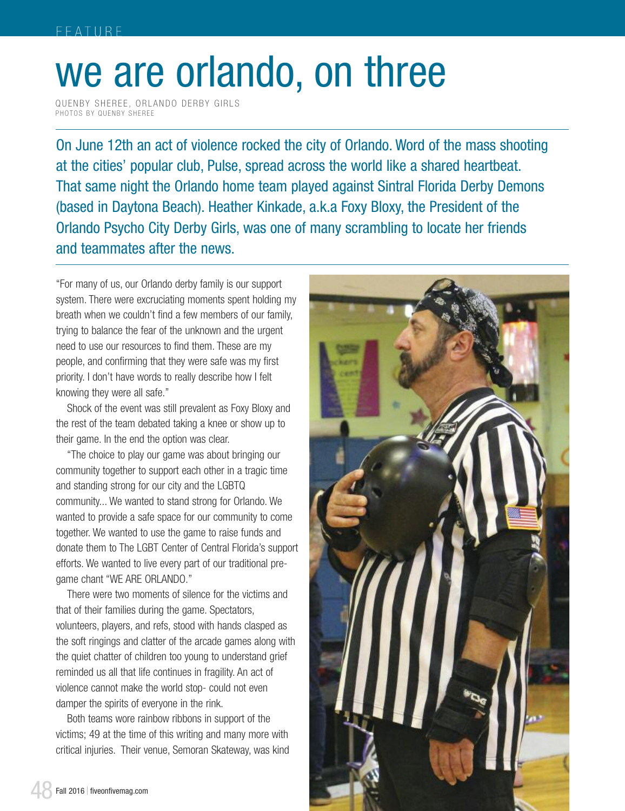## we are orlando, on three

QUENBY SHEREE, ORLANDO DERBY GIRIS PHOTOS BY OUENRY SHEREE

On June 12th an act of violence rocked the city of Orlando. Word of the mass shooting at the cities' popular club, Pulse, spread across the world like a shared heartbeat. That same night the Orlando home team played against Sintral Florida Derby Demons (based in Daytona Beach). Heather Kinkade, a.k.a Foxy Bloxy, the President of the Orlando Psycho City Derby Girls, was one of many scrambling to locate her friends and teammates after the news.

"For many of us, our Orlando derby family is our support system. There were excruciating moments spent holding my breath when we couldn't find a few members of our family, trying to balance the fear of the unknown and the urgent need to use our resources to find them. These are my people, and confirming that they were safe was my first priority. I don't have words to really describe how I felt knowing they were all safe."

 Shock of the event was still prevalent as Foxy Bloxy and the rest of the team debated taking a knee or show up to their game. In the end the option was clear.

 "The choice to play our game was about bringing our community together to support each other in a tragic time and standing strong for our city and the LGBTQ community... We wanted to stand strong for Orlando. We wanted to provide a safe space for our community to come together. We wanted to use the game to raise funds and donate them to The LGBT Center of Central Florida's support efforts. We wanted to live every part of our traditional pregame chant "WE ARE ORLANDO."

 There were two moments of silence for the victims and that of their families during the game. Spectators, volunteers, players, and refs, stood with hands clasped as the soft ringings and clatter of the arcade games along with the quiet chatter of children too young to understand grief reminded us all that life continues in fragility. An act of violence cannot make the world stop- could not even damper the spirits of everyone in the rink.

 Both teams wore rainbow ribbons in support of the victims; 49 at the time of this writing and many more with critical injuries. Their venue, Semoran Skateway, was kind

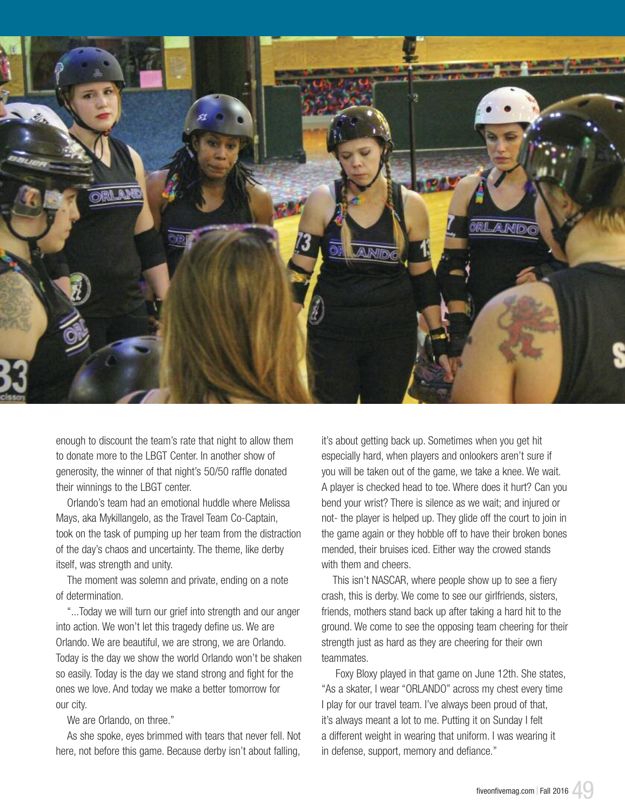

enough to discount the team's rate that night to allow them to donate more to the LBGT Center. In another show of generosity, the winner of that night's 50/50 raffle donated their winnings to the LBGT center.

 Orlando's team had an emotional huddle where Melissa Mays, aka Mykillangelo, as the Travel Team Co-Captain, took on the task of pumping up her team from the distraction of the day's chaos and uncertainty. The theme, like derby itself, was strength and unity.

 The moment was solemn and private, ending on a note of determination.

 "...Today we will turn our grief into strength and our anger into action. We won't let this tragedy define us. We are Orlando. We are beautiful, we are strong, we are Orlando. Today is the day we show the world Orlando won't be shaken so easily. Today is the day we stand strong and fight for the ones we love. And today we make a better tomorrow for our city.

We are Orlando, on three."

 As she spoke, eyes brimmed with tears that never fell. Not here, not before this game. Because derby isn't about falling,

it's about getting back up. Sometimes when you get hit especially hard, when players and onlookers aren't sure if you will be taken out of the game, we take a knee. We wait. A player is checked head to toe. Where does it hurt? Can you bend your wrist? There is silence as we wait; and injured or not- the player is helped up. They glide off the court to join in the game again or they hobble off to have their broken bones mended, their bruises iced. Either way the crowed stands with them and cheers.

 This isn't NASCAR, where people show up to see a fiery crash, this is derby. We come to see our girlfriends, sisters, friends, mothers stand back up after taking a hard hit to the ground. We come to see the opposing team cheering for their strength just as hard as they are cheering for their own teammates.

 Foxy Bloxy played in that game on June 12th. She states, "As a skater, I wear "ORLANDO" across my chest every time I play for our travel team. I've always been proud of that, it's always meant a lot to me. Putting it on Sunday I felt a different weight in wearing that uniform. I was wearing it in defense, support, memory and defiance."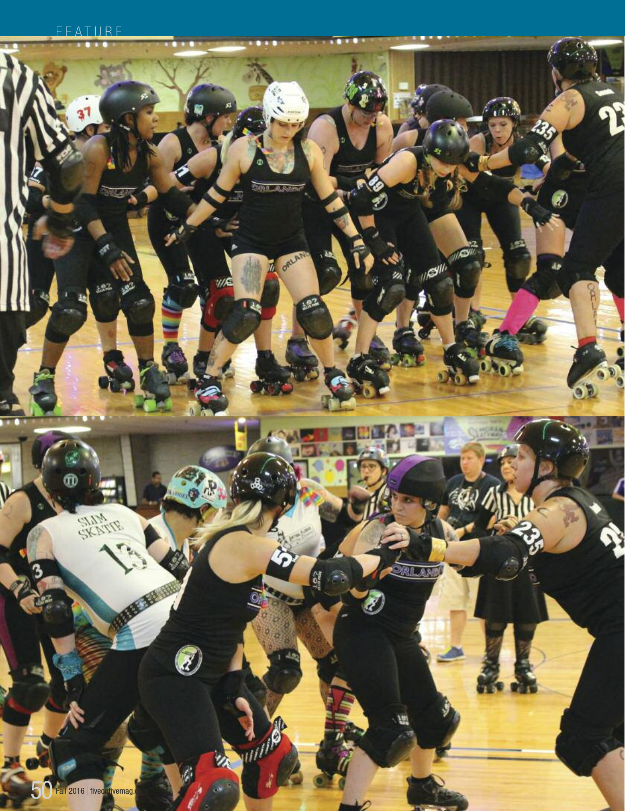